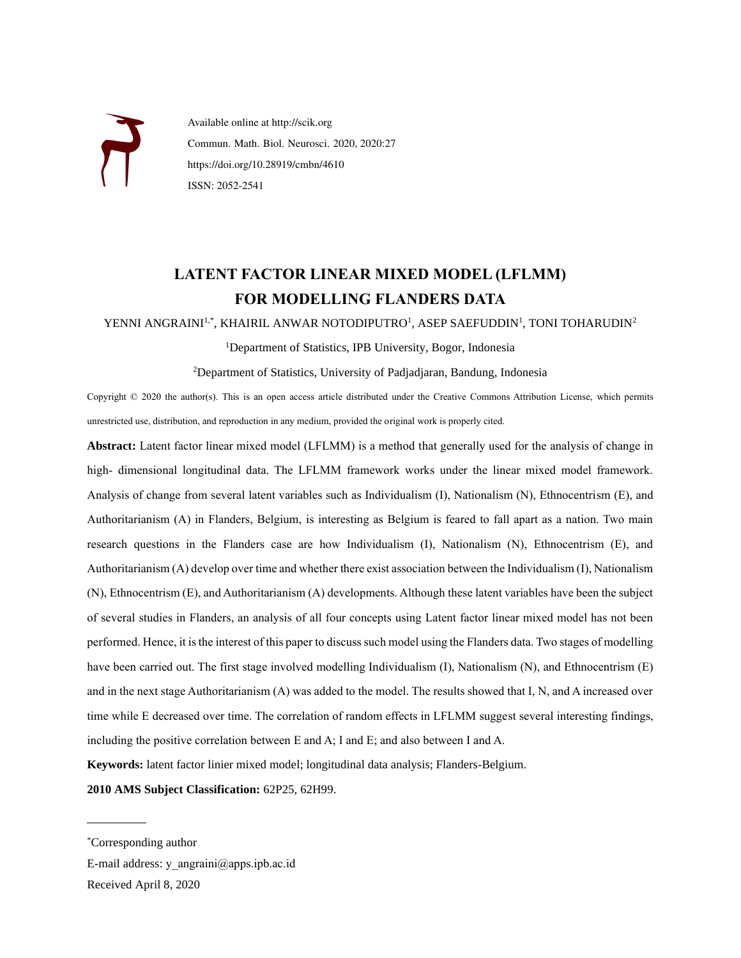

Available online at http://scik.org Commun. Math. Biol. Neurosci. 2020, 2020:27 https://doi.org/10.28919/cmbn/4610 ISSN: 2052-2541

# **LATENT FACTOR LINEAR MIXED MODEL (LFLMM) FOR MODELLING FLANDERS DATA**

YENNI ANGRAINI<sup>1,\*</sup>, KHAIRIL ANWAR NOTODIPUTRO<sup>1</sup>, ASEP SAEFUDDIN<sup>1</sup>, TONI TOHARUDIN<sup>2</sup>

<sup>1</sup>Department of Statistics, IPB University, Bogor, Indonesia

<sup>2</sup>Department of Statistics, University of Padjadjaran, Bandung, Indonesia

Copyright © 2020 the author(s). This is an open access article distributed under the Creative Commons Attribution License, which permits unrestricted use, distribution, and reproduction in any medium, provided the original work is properly cited.

**Abstract:** Latent factor linear mixed model (LFLMM) is a method that generally used for the analysis of change in high- dimensional longitudinal data. The LFLMM framework works under the linear mixed model framework. Analysis of change from several latent variables such as Individualism (I), Nationalism (N), Ethnocentrism (E), and Authoritarianism (A) in Flanders, Belgium, is interesting as Belgium is feared to fall apart as a nation. Two main research questions in the Flanders case are how Individualism (I), Nationalism (N), Ethnocentrism (E), and Authoritarianism (A) develop over time and whether there exist association between the Individualism (I), Nationalism (N), Ethnocentrism (E), and Authoritarianism (A) developments. Although these latent variables have been the subject of several studies in Flanders, an analysis of all four concepts using Latent factor linear mixed model has not been performed. Hence, it is the interest of this paper to discuss such model using the Flanders data. Two stages of modelling have been carried out. The first stage involved modelling Individualism (I), Nationalism (N), and Ethnocentrism (E) and in the next stage Authoritarianism (A) was added to the model. The results showed that I, N, and A increased over time while E decreased over time. The correlation of random effects in LFLMM suggest several interesting findings, including the positive correlation between E and A; I and E; and also between I and A.

**Keywords:** latent factor linier mixed model; longitudinal data analysis; Flanders-Belgium.

**2010 AMS Subject Classification:** 62P25, 62H99.

 $\overline{a}$ 

E-mail address: y\_angraini@apps.ipb.ac.id

<sup>\*</sup>Corresponding author

Received April 8, 2020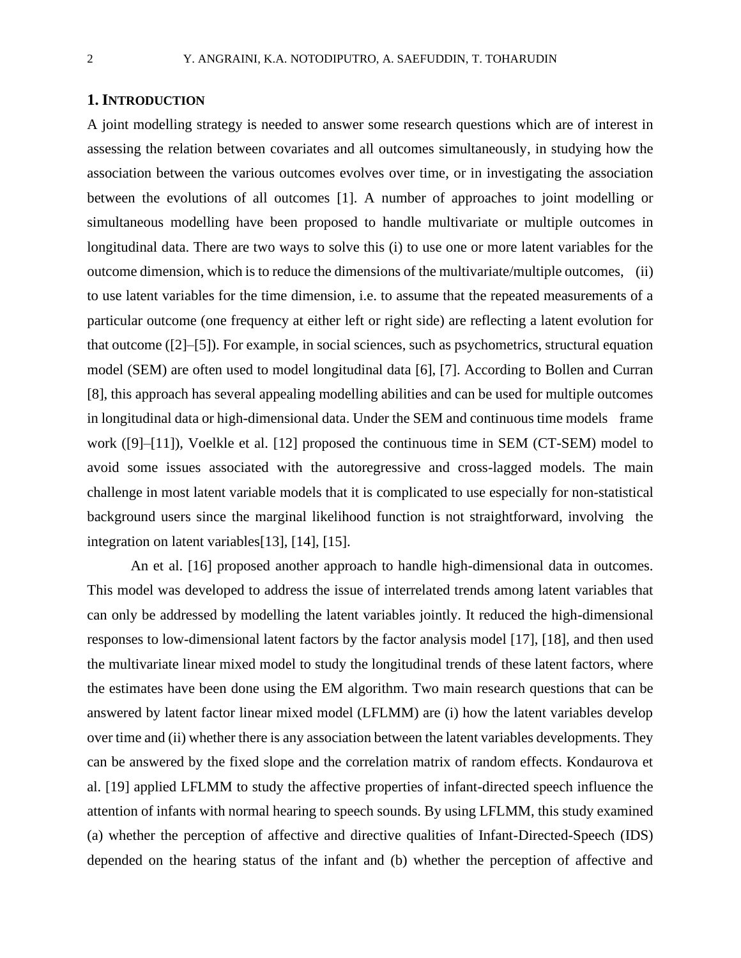### **1. INTRODUCTION**

A joint modelling strategy is needed to answer some research questions which are of interest in assessing the relation between covariates and all outcomes simultaneously, in studying how the association between the various outcomes evolves over time, or in investigating the association between the evolutions of all outcomes [1]. A number of approaches to joint modelling or simultaneous modelling have been proposed to handle multivariate or multiple outcomes in longitudinal data. There are two ways to solve this (i) to use one or more latent variables for the outcome dimension, which is to reduce the dimensions of the multivariate/multiple outcomes, (ii) to use latent variables for the time dimension, i.e. to assume that the repeated measurements of a particular outcome (one frequency at either left or right side) are reflecting a latent evolution for that outcome ([2]–[5]). For example, in social sciences, such as psychometrics, structural equation model (SEM) are often used to model longitudinal data [6], [7]. According to Bollen and Curran [8], this approach has several appealing modelling abilities and can be used for multiple outcomes in longitudinal data or high-dimensional data. Under the SEM and continuous time models frame work ([9]–[11]), Voelkle et al. [12] proposed the continuous time in SEM (CT-SEM) model to avoid some issues associated with the autoregressive and cross-lagged models. The main challenge in most latent variable models that it is complicated to use especially for non-statistical background users since the marginal likelihood function is not straightforward, involving the integration on latent variables[13], [14], [15].

An et al. [16] proposed another approach to handle high-dimensional data in outcomes. This model was developed to address the issue of interrelated trends among latent variables that can only be addressed by modelling the latent variables jointly. It reduced the high-dimensional responses to low-dimensional latent factors by the factor analysis model [17], [18], and then used the multivariate linear mixed model to study the longitudinal trends of these latent factors, where the estimates have been done using the EM algorithm. Two main research questions that can be answered by latent factor linear mixed model (LFLMM) are (i) how the latent variables develop over time and (ii) whether there is any association between the latent variables developments. They can be answered by the fixed slope and the correlation matrix of random effects. Kondaurova et al. [19] applied LFLMM to study the affective properties of infant-directed speech influence the attention of infants with normal hearing to speech sounds. By using LFLMM, this study examined (a) whether the perception of affective and directive qualities of Infant-Directed-Speech (IDS) depended on the hearing status of the infant and (b) whether the perception of affective and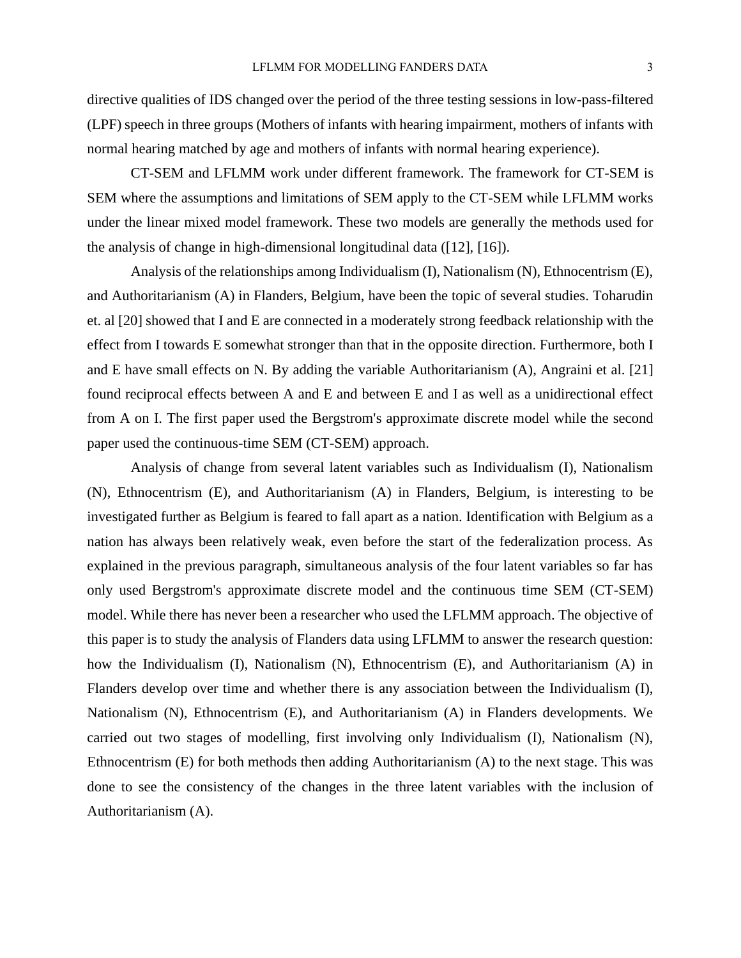directive qualities of IDS changed over the period of the three testing sessions in low-pass-filtered (LPF) speech in three groups (Mothers of infants with hearing impairment, mothers of infants with normal hearing matched by age and mothers of infants with normal hearing experience).

CT-SEM and LFLMM work under different framework. The framework for CT-SEM is SEM where the assumptions and limitations of SEM apply to the CT-SEM while LFLMM works under the linear mixed model framework. These two models are generally the methods used for the analysis of change in high-dimensional longitudinal data ([12], [16]).

Analysis of the relationships among Individualism (I), Nationalism (N), Ethnocentrism (E), and Authoritarianism (A) in Flanders, Belgium, have been the topic of several studies. Toharudin et. al [20] showed that I and E are connected in a moderately strong feedback relationship with the effect from I towards E somewhat stronger than that in the opposite direction. Furthermore, both I and E have small effects on N. By adding the variable Authoritarianism (A), Angraini et al. [21] found reciprocal effects between A and E and between E and I as well as a unidirectional effect from A on I. The first paper used the Bergstrom's approximate discrete model while the second paper used the continuous-time SEM (CT-SEM) approach.

Analysis of change from several latent variables such as Individualism (I), Nationalism (N), Ethnocentrism (E), and Authoritarianism (A) in Flanders, Belgium, is interesting to be investigated further as Belgium is feared to fall apart as a nation. Identification with Belgium as a nation has always been relatively weak, even before the start of the federalization process. As explained in the previous paragraph, simultaneous analysis of the four latent variables so far has only used Bergstrom's approximate discrete model and the continuous time SEM (CT-SEM) model. While there has never been a researcher who used the LFLMM approach. The objective of this paper is to study the analysis of Flanders data using LFLMM to answer the research question: how the Individualism (I), Nationalism (N), Ethnocentrism (E), and Authoritarianism (A) in Flanders develop over time and whether there is any association between the Individualism (I), Nationalism (N), Ethnocentrism (E), and Authoritarianism (A) in Flanders developments. We carried out two stages of modelling, first involving only Individualism (I), Nationalism (N), Ethnocentrism (E) for both methods then adding Authoritarianism (A) to the next stage. This was done to see the consistency of the changes in the three latent variables with the inclusion of Authoritarianism (A).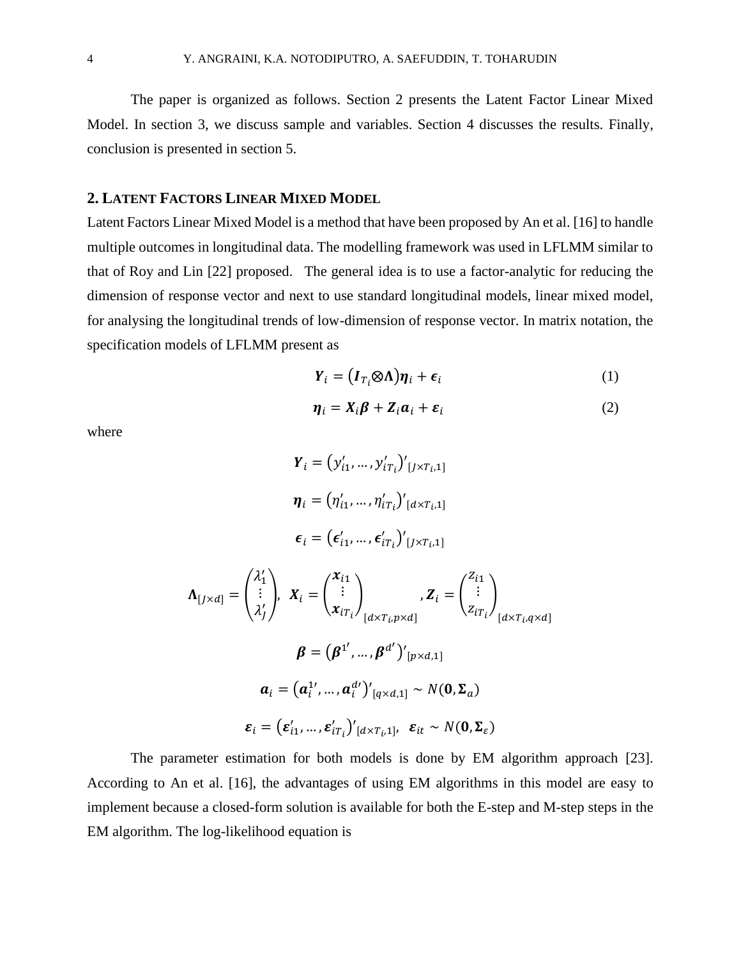The paper is organized as follows. Section 2 presents the Latent Factor Linear Mixed Model. In section 3, we discuss sample and variables. Section 4 discusses the results. Finally, conclusion is presented in section 5.

## **2. LATENT FACTORS LINEAR MIXED MODEL**

Latent Factors Linear Mixed Model is a method that have been proposed by An et al. [16] to handle multiple outcomes in longitudinal data. The modelling framework was used in LFLMM similar to that of Roy and Lin [22] proposed. The general idea is to use a factor-analytic for reducing the dimension of response vector and next to use standard longitudinal models, linear mixed model, for analysing the longitudinal trends of low-dimension of response vector. In matrix notation, the specification models of LFLMM present as

$$
\boldsymbol{Y}_i = (\boldsymbol{I}_{T_i} \otimes \boldsymbol{\Lambda}) \boldsymbol{\eta}_i + \boldsymbol{\epsilon}_i \tag{1}
$$

$$
\boldsymbol{\eta}_i = \boldsymbol{X}_i \boldsymbol{\beta} + \boldsymbol{Z}_i \boldsymbol{a}_i + \boldsymbol{\varepsilon}_i \tag{2}
$$

where

$$
Y_i = (y'_{i1}, ..., y'_{iT_i})'_{[J \times T_i, 1]}
$$
\n
$$
\eta_i = (\eta'_{i1}, ..., \eta'_{iT_i})'_{[d \times T_i, 1]}
$$
\n
$$
\epsilon_i = (\epsilon'_{i1}, ..., \epsilon'_{iT_i})'_{[J \times T_i, 1]}
$$
\n
$$
\Lambda_{[J \times d]} = \begin{pmatrix} \lambda'_1 \\ \vdots \\ \lambda'_J \end{pmatrix}, X_i = \begin{pmatrix} x_{i1} \\ \vdots \\ x_{iT_i} \end{pmatrix}_{[d \times T_i, p \times d]} , Z_i = \begin{pmatrix} z_{i1} \\ \vdots \\ z_{iT_i} \end{pmatrix}_{[d \times T_i, q \times d]}
$$
\n
$$
\beta = (\beta^{1'}, ..., \beta^{d'})'_{[p \times d, 1]}
$$
\n
$$
\alpha_i = (\alpha_i^{1'}, ..., \alpha_i^{d'})'_{[q \times d, 1]} \sim N(0, \Sigma_a)
$$
\n
$$
\epsilon_i = (\epsilon'_{i1}, ..., \epsilon'_{iT_i})'_{[d \times T_i, 1]}, \ \epsilon_{it} \sim N(0, \Sigma_{\varepsilon})
$$

The parameter estimation for both models is done by EM algorithm approach [23]. According to An et al. [16], the advantages of using EM algorithms in this model are easy to implement because a closed-form solution is available for both the E-step and M-step steps in the EM algorithm. The log-likelihood equation is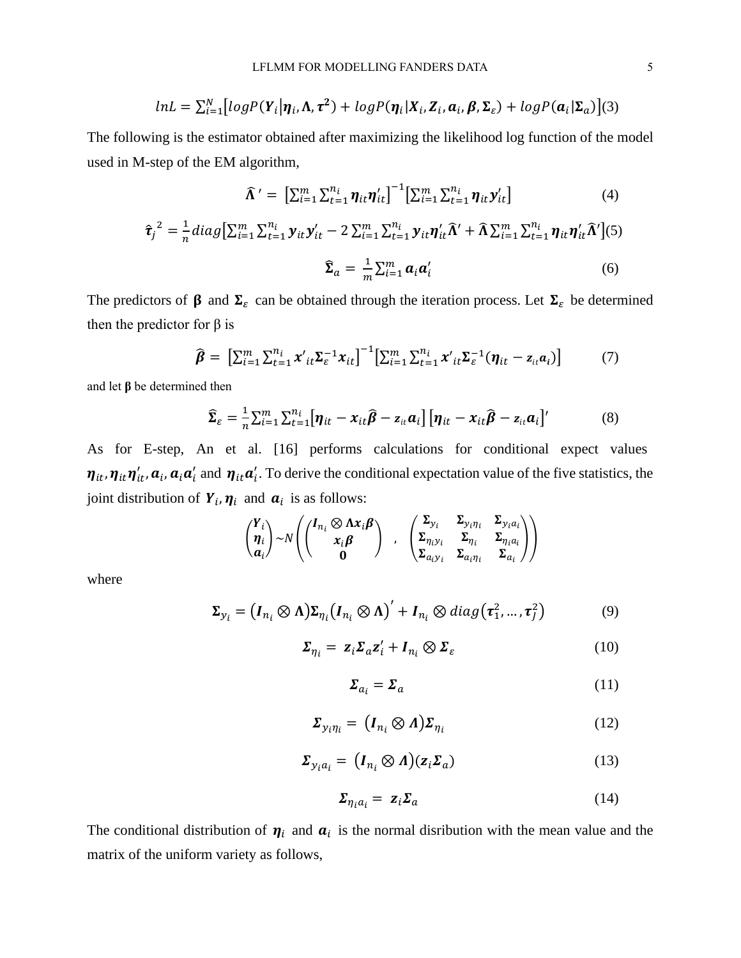$$
lnL = \sum_{i=1}^{N} [logP(Y_i | \boldsymbol{\eta}_i, \boldsymbol{\Lambda}, \boldsymbol{\tau}^2) + logP(\boldsymbol{\eta}_i | X_i, \boldsymbol{Z}_i, \boldsymbol{a}_i, \boldsymbol{\beta}, \boldsymbol{\Sigma}_{\varepsilon}) + logP(\boldsymbol{a}_i | \boldsymbol{\Sigma}_a)](3)
$$

The following is the estimator obtained after maximizing the likelihood log function of the model used in M-step of the EM algorithm,

$$
\widehat{\boldsymbol{\tau}}^{\prime} = \left[\sum_{i=1}^{m} \sum_{t=1}^{n_i} \boldsymbol{\eta}_{it} \boldsymbol{\eta}_{it}'\right]^{-1} \left[\sum_{i=1}^{m} \sum_{t=1}^{n_i} \boldsymbol{\eta}_{it} \mathbf{y}_{it}'\right] \tag{4}
$$
\n
$$
\widehat{\boldsymbol{\tau}}^{\prime} = \frac{1}{n} \operatorname{diag}\left[\sum_{i=1}^{m} \sum_{t=1}^{n_i} \mathbf{y}_{it} \mathbf{y}_{it}' - 2 \sum_{i=1}^{m} \sum_{t=1}^{n_i} \mathbf{y}_{it} \boldsymbol{\eta}_{it}' \widehat{\boldsymbol{\Lambda}}' + \widehat{\boldsymbol{\Lambda}} \sum_{i=1}^{m} \sum_{t=1}^{n_i} \boldsymbol{\eta}_{it} \boldsymbol{\eta}_{it}' \widehat{\boldsymbol{\Lambda}}'\right] \tag{5}
$$
\n
$$
\widehat{\boldsymbol{\Sigma}}_{a} = \frac{1}{m} \sum_{i=1}^{m} \boldsymbol{\alpha}_{i} \boldsymbol{\alpha}_{i}' \tag{6}
$$

The predictors of  $\beta$  and  $\Sigma_{\varepsilon}$  can be obtained through the iteration process. Let  $\Sigma_{\varepsilon}$  be determined then the predictor for  $β$  is

$$
\widehat{\boldsymbol{\beta}} = \left[ \sum_{i=1}^{m} \sum_{t=1}^{n_i} \boldsymbol{x}'_{it} \boldsymbol{\Sigma}_{\varepsilon}^{-1} \boldsymbol{x}_{it} \right]^{-1} \left[ \sum_{i=1}^{m} \sum_{t=1}^{n_i} \boldsymbol{x}'_{it} \boldsymbol{\Sigma}_{\varepsilon}^{-1} (\boldsymbol{\eta}_{it} - \boldsymbol{z}_{it} \boldsymbol{a}_i) \right]
$$
(7)

and let **β** be determined then

$$
\widehat{\Sigma}_{\varepsilon} = \frac{1}{n} \sum_{i=1}^{m} \sum_{t=1}^{n_i} [\boldsymbol{\eta}_{it} - \boldsymbol{x}_{it} \widehat{\boldsymbol{\beta}} - \boldsymbol{z}_{it} \boldsymbol{a}_i] [\boldsymbol{\eta}_{it} - \boldsymbol{x}_{it} \widehat{\boldsymbol{\beta}} - \boldsymbol{z}_{it} \boldsymbol{a}_i]'
$$
(8)

As for E-step, An et al. [16] performs calculations for conditional expect values  $\eta_{it}$ ,  $\eta_{it}\eta'_{it}$ ,  $a_i$ ,  $a_i a'_i$  and  $\eta_{it}\alpha'_i$ . To derive the conditional expectation value of the five statistics, the joint distribution of  $Y_i$ ,  $\eta_i$  and  $a_i$  is as follows:

$$
\begin{pmatrix} Y_i \\ \eta_i \\ a_i \end{pmatrix} \sim N \begin{pmatrix} I_{n_i} \otimes \Lambda x_i \beta \\ x_i \beta \\ 0 \end{pmatrix} , \begin{pmatrix} \Sigma_{y_i} & \Sigma_{y_i \eta_i} & \Sigma_{y_i a_i} \\ \Sigma_{\eta_i y_i} & \Sigma_{\eta_i} & \Sigma_{\eta_i a_i} \\ \Sigma_{a_i y_i} & \Sigma_{a_i \eta_i} & \Sigma_{a_i} \end{pmatrix}
$$

where

$$
\Sigma_{y_i} = (I_{n_i} \otimes \Lambda) \Sigma_{\eta_i} (I_{n_i} \otimes \Lambda)' + I_{n_i} \otimes diag(\tau_1^2, ..., \tau_j^2)
$$
(9)

$$
\Sigma_{\eta_i} = z_i \Sigma_a z'_i + I_{n_i} \otimes \Sigma_{\varepsilon}
$$
 (10)

$$
\Sigma_{a_i} = \Sigma_a \tag{11}
$$

$$
\Sigma_{y_i \eta_i} = (I_{n_i} \otimes \Lambda) \Sigma_{\eta_i} \tag{12}
$$

$$
\Sigma_{y_i a_i} = (I_{n_i} \otimes \Lambda)(z_i \Sigma_a) \tag{13}
$$

$$
\Sigma_{\eta_i a_i} = z_i \Sigma_a \tag{14}
$$

The conditional distribution of  $\eta_i$  and  $\alpha_i$  is the normal disribution with the mean value and the matrix of the uniform variety as follows,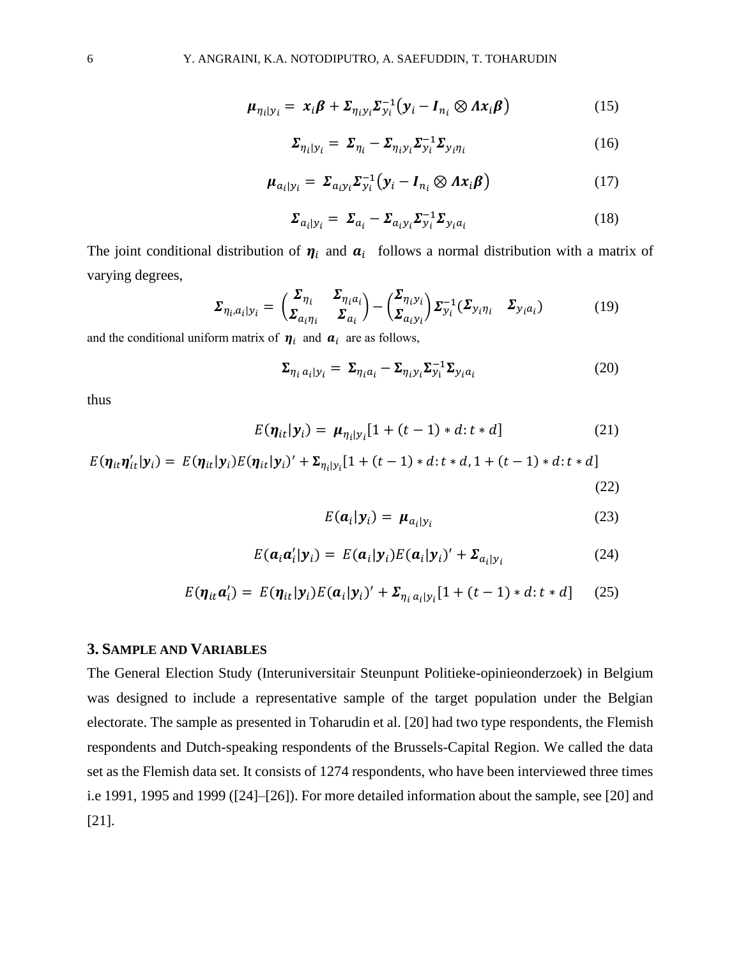$$
\boldsymbol{\mu}_{\eta_i|\mathbf{y}_i} = \boldsymbol{x}_i \boldsymbol{\beta} + \boldsymbol{\Sigma}_{\eta_i \mathbf{y}_i} \boldsymbol{\Sigma}_{\mathbf{y}_i}^{-1} \big( \mathbf{y}_i - \boldsymbol{I}_{n_i} \otimes \boldsymbol{\Lambda} \boldsymbol{x}_i \boldsymbol{\beta} \big) \tag{15}
$$

$$
\Sigma_{\eta_i|y_i} = \Sigma_{\eta_i} - \Sigma_{\eta_i y_i} \Sigma_{y_i}^{-1} \Sigma_{y_i \eta_i} \tag{16}
$$

$$
\boldsymbol{\mu}_{a_i|y_i} = \boldsymbol{\Sigma}_{a_i y_i} \boldsymbol{\Sigma}_{y_i}^{-1} (\mathbf{y}_i - \boldsymbol{I}_{n_i} \otimes \boldsymbol{\Lambda} \mathbf{x}_i \boldsymbol{\beta}) \tag{17}
$$

$$
\Sigma_{a_i|y_i} = \Sigma_{a_i} - \Sigma_{a_iy_i} \Sigma_{y_i}^{-1} \Sigma_{y_i a_i}
$$
\n(18)

The joint conditional distribution of  $\eta_i$  and  $\alpha_i$  follows a normal distribution with a matrix of varying degrees,

$$
\Sigma_{\eta_i, a_i | y_i} = \begin{pmatrix} \Sigma_{\eta_i} & \Sigma_{\eta_i a_i} \\ \Sigma_{a_i \eta_i} & \Sigma_{a_i} \end{pmatrix} - \begin{pmatrix} \Sigma_{\eta_i y_i} \\ \Sigma_{a_i y_i} \end{pmatrix} \Sigma_{y_i}^{-1} (\Sigma_{y_i \eta_i} & \Sigma_{y_i a_i}) \tag{19}
$$

and the conditional uniform matrix of  $\eta_i$  and  $\alpha_i$  are as follows,

$$
\Sigma_{\eta_i a_i | y_i} = \Sigma_{\eta_i a_i} - \Sigma_{\eta_i y_i} \Sigma_{y_i}^{-1} \Sigma_{y_i a_i}
$$
 (20)

thus

$$
E(\boldsymbol{\eta}_{it}|\mathbf{y}_i) = \boldsymbol{\mu}_{\eta_i|\mathbf{y}_i} [1 + (t-1) * d: t * d] \tag{21}
$$

 $E(\eta_{it}\eta'_{it}|\mathbf{y}_i) = E(\eta_{it}|\mathbf{y}_i)E(\eta_{it}|\mathbf{y}_i)' + \Sigma_{\eta_i|\mathbf{y}_i}[1+(t-1)*d:t*d, 1+(t-1)*d:t*d]$ 

(22)

$$
E(\boldsymbol{a}_i|\boldsymbol{y}_i) = \boldsymbol{\mu}_{a_i|y_i} \tag{23}
$$

$$
E(\boldsymbol{a}_i \boldsymbol{a}_i' | \mathbf{y}_i) = E(\boldsymbol{a}_i | \mathbf{y}_i) E(\boldsymbol{a}_i | \mathbf{y}_i)' + \boldsymbol{\Sigma}_{a_i | y_i}
$$
(24)

$$
E(\boldsymbol{\eta}_{it}\boldsymbol{a}'_i) = E(\boldsymbol{\eta}_{it}|\mathbf{y}_i)E(\boldsymbol{a}_i|\mathbf{y}_i)' + \boldsymbol{\Sigma}_{\eta_i a_i|\mathbf{y}_i}[1+(t-1)*d:t*d]
$$
(25)

## **3. SAMPLE AND VARIABLES**

The General Election Study (Interuniversitair Steunpunt Politieke-opinieonderzoek) in Belgium was designed to include a representative sample of the target population under the Belgian electorate. The sample as presented in Toharudin et al. [20] had two type respondents, the Flemish respondents and Dutch-speaking respondents of the Brussels-Capital Region. We called the data set as the Flemish data set. It consists of 1274 respondents, who have been interviewed three times i.e 1991, 1995 and 1999 ([24]–[26]). For more detailed information about the sample, see [20] and [21].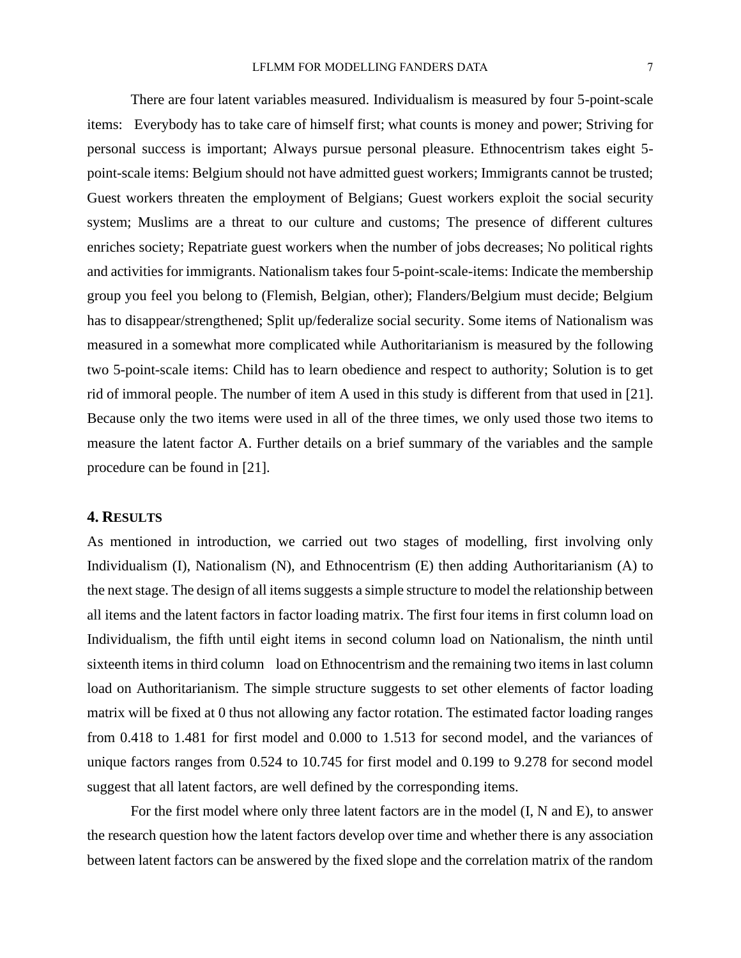There are four latent variables measured. Individualism is measured by four 5-point-scale items: Everybody has to take care of himself first; what counts is money and power; Striving for personal success is important; Always pursue personal pleasure. Ethnocentrism takes eight 5 point-scale items: Belgium should not have admitted guest workers; Immigrants cannot be trusted; Guest workers threaten the employment of Belgians; Guest workers exploit the social security system; Muslims are a threat to our culture and customs; The presence of different cultures enriches society; Repatriate guest workers when the number of jobs decreases; No political rights and activities for immigrants. Nationalism takes four 5-point-scale-items: Indicate the membership group you feel you belong to (Flemish, Belgian, other); Flanders/Belgium must decide; Belgium has to disappear/strengthened; Split up/federalize social security. Some items of Nationalism was measured in a somewhat more complicated while Authoritarianism is measured by the following two 5-point-scale items: Child has to learn obedience and respect to authority; Solution is to get rid of immoral people. The number of item A used in this study is different from that used in [21]. Because only the two items were used in all of the three times, we only used those two items to measure the latent factor A. Further details on a brief summary of the variables and the sample procedure can be found in [21].

## **4. RESULTS**

As mentioned in introduction, we carried out two stages of modelling, first involving only Individualism (I), Nationalism (N), and Ethnocentrism (E) then adding Authoritarianism (A) to the next stage. The design of all items suggests a simple structure to model the relationship between all items and the latent factors in factor loading matrix. The first four items in first column load on Individualism, the fifth until eight items in second column load on Nationalism, the ninth until sixteenth items in third column load on Ethnocentrism and the remaining two items in last column load on Authoritarianism. The simple structure suggests to set other elements of factor loading matrix will be fixed at 0 thus not allowing any factor rotation. The estimated factor loading ranges from 0.418 to 1.481 for first model and 0.000 to 1.513 for second model, and the variances of unique factors ranges from 0.524 to 10.745 for first model and 0.199 to 9.278 for second model suggest that all latent factors, are well defined by the corresponding items.

For the first model where only three latent factors are in the model (I, N and E), to answer the research question how the latent factors develop over time and whether there is any association between latent factors can be answered by the fixed slope and the correlation matrix of the random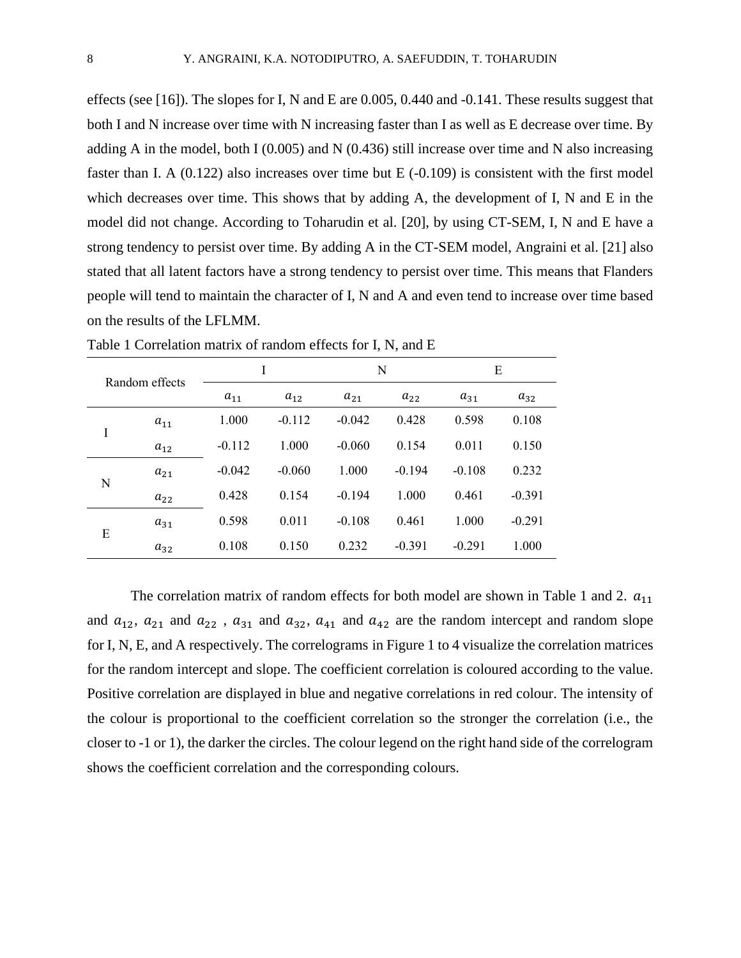effects (see [16]). The slopes for I, N and E are 0.005, 0.440 and -0.141. These results suggest that both I and N increase over time with N increasing faster than I as well as E decrease over time. By adding A in the model, both I (0.005) and N (0.436) still increase over time and N also increasing faster than I. A (0.122) also increases over time but E (-0.109) is consistent with the first model which decreases over time. This shows that by adding A, the development of I, N and E in the model did not change. According to Toharudin et al. [20], by using CT-SEM, I, N and E have a strong tendency to persist over time. By adding A in the CT-SEM model, Angraini et al. [21] also stated that all latent factors have a strong tendency to persist over time. This means that Flanders people will tend to maintain the character of I, N and A and even tend to increase over time based on the results of the LFLMM.

| Random effects |          | I        |          | N        |          | E        |          |
|----------------|----------|----------|----------|----------|----------|----------|----------|
|                |          | $a_{11}$ | $a_{12}$ | $a_{21}$ | $a_{22}$ | $a_{31}$ | $a_{32}$ |
| I              | $a_{11}$ | 1.000    | $-0.112$ | $-0.042$ | 0.428    | 0.598    | 0.108    |
|                | $a_{12}$ | $-0.112$ | 1.000    | $-0.060$ | 0.154    | 0.011    | 0.150    |
| N              | $a_{21}$ | $-0.042$ | $-0.060$ | 1.000    | $-0.194$ | $-0.108$ | 0.232    |
|                | $a_{22}$ | 0.428    | 0.154    | $-0.194$ | 1.000    | 0.461    | $-0.391$ |
| E              | $a_{31}$ | 0.598    | 0.011    | $-0.108$ | 0.461    | 1.000    | $-0.291$ |
|                | $a_{32}$ | 0.108    | 0.150    | 0.232    | $-0.391$ | $-0.291$ | 1.000    |

Table 1 Correlation matrix of random effects for I, N, and E

The correlation matrix of random effects for both model are shown in Table 1 and 2.  $a_{11}$ and  $a_{12}$ ,  $a_{21}$  and  $a_{22}$ ,  $a_{31}$  and  $a_{32}$ ,  $a_{41}$  and  $a_{42}$  are the random intercept and random slope for I, N, E, and A respectively. The correlograms in Figure 1 to 4 visualize the correlation matrices for the random intercept and slope. The coefficient correlation is coloured according to the value. Positive correlation are displayed in blue and negative correlations in red colour. The intensity of the colour is proportional to the coefficient correlation so the stronger the correlation (i.e., the closer to -1 or 1), the darker the circles. The colour legend on the right hand side of the correlogram shows the coefficient correlation and the corresponding colours.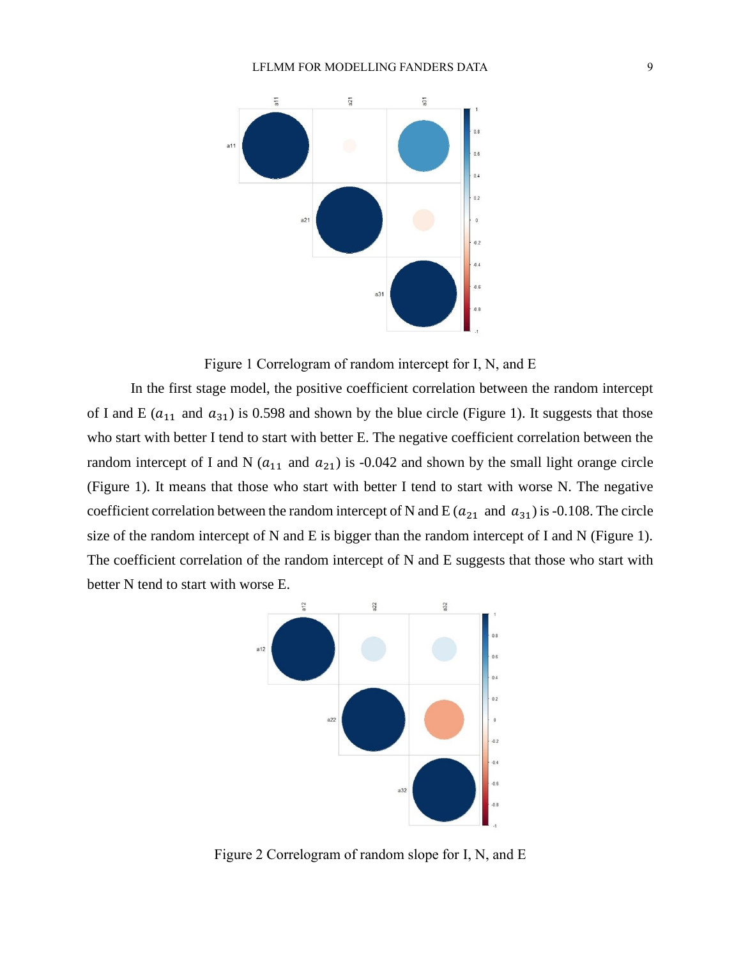

Figure 1 Correlogram of random intercept for I, N, and E

In the first stage model, the positive coefficient correlation between the random intercept of I and E ( $a_{11}$  and  $a_{31}$ ) is 0.598 and shown by the blue circle (Figure 1). It suggests that those who start with better I tend to start with better E. The negative coefficient correlation between the random intercept of I and N  $(a_{11}$  and  $a_{21})$  is -0.042 and shown by the small light orange circle (Figure 1). It means that those who start with better I tend to start with worse N. The negative coefficient correlation between the random intercept of N and E ( $a_{21}$  and  $a_{31}$ ) is -0.108. The circle size of the random intercept of N and E is bigger than the random intercept of I and N (Figure 1). The coefficient correlation of the random intercept of N and E suggests that those who start with better N tend to start with worse E.



Figure 2 Correlogram of random slope for I, N, and E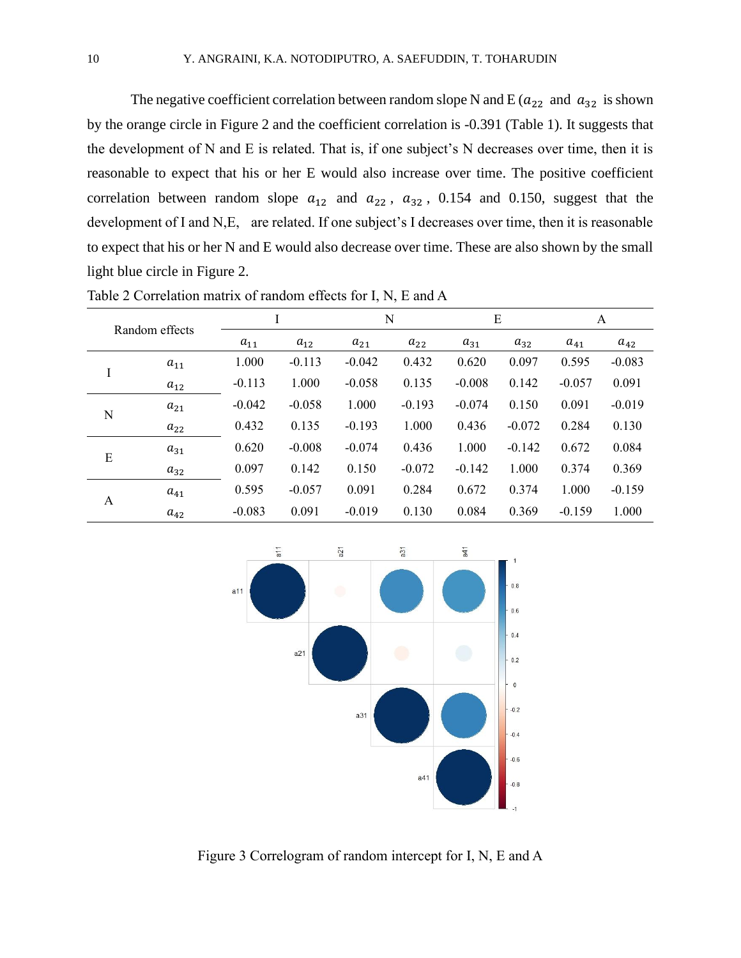The negative coefficient correlation between random slope N and E ( $a_{22}$  and  $a_{32}$  is shown by the orange circle in Figure 2 and the coefficient correlation is -0.391 (Table 1). It suggests that the development of N and E is related. That is, if one subject's N decreases over time, then it is reasonable to expect that his or her E would also increase over time. The positive coefficient correlation between random slope  $a_{12}$  and  $a_{22}$ ,  $a_{32}$ , 0.154 and 0.150, suggest that the development of I and N,E, are related. If one subject's I decreases over time, then it is reasonable to expect that his or her N and E would also decrease over time. These are also shown by the small light blue circle in Figure 2.

| Random effects |          |          |          | N        |          | E        |          | A        |          |
|----------------|----------|----------|----------|----------|----------|----------|----------|----------|----------|
|                |          | $a_{11}$ | $a_{12}$ | $a_{21}$ | $a_{22}$ | $a_{31}$ | $a_{32}$ | $a_{41}$ | $a_{42}$ |
|                | $a_{11}$ | 1.000    | $-0.113$ | $-0.042$ | 0.432    | 0.620    | 0.097    | 0.595    | $-0.083$ |
|                | $a_{12}$ | $-0.113$ | 1.000    | $-0.058$ | 0.135    | $-0.008$ | 0.142    | $-0.057$ | 0.091    |
| N              | $a_{21}$ | $-0.042$ | $-0.058$ | 1.000    | $-0.193$ | $-0.074$ | 0.150    | 0.091    | $-0.019$ |
|                | $a_{22}$ | 0.432    | 0.135    | $-0.193$ | 1.000    | 0.436    | $-0.072$ | 0.284    | 0.130    |
| E              | $a_{31}$ | 0.620    | $-0.008$ | $-0.074$ | 0.436    | 1.000    | $-0.142$ | 0.672    | 0.084    |
|                | $a_{32}$ | 0.097    | 0.142    | 0.150    | $-0.072$ | $-0.142$ | 1.000    | 0.374    | 0.369    |
| A              | $a_{41}$ | 0.595    | $-0.057$ | 0.091    | 0.284    | 0.672    | 0.374    | 1.000    | $-0.159$ |
|                | $a_{42}$ | $-0.083$ | 0.091    | $-0.019$ | 0.130    | 0.084    | 0.369    | $-0.159$ | 1.000    |





Figure 3 Correlogram of random intercept for I, N, E and A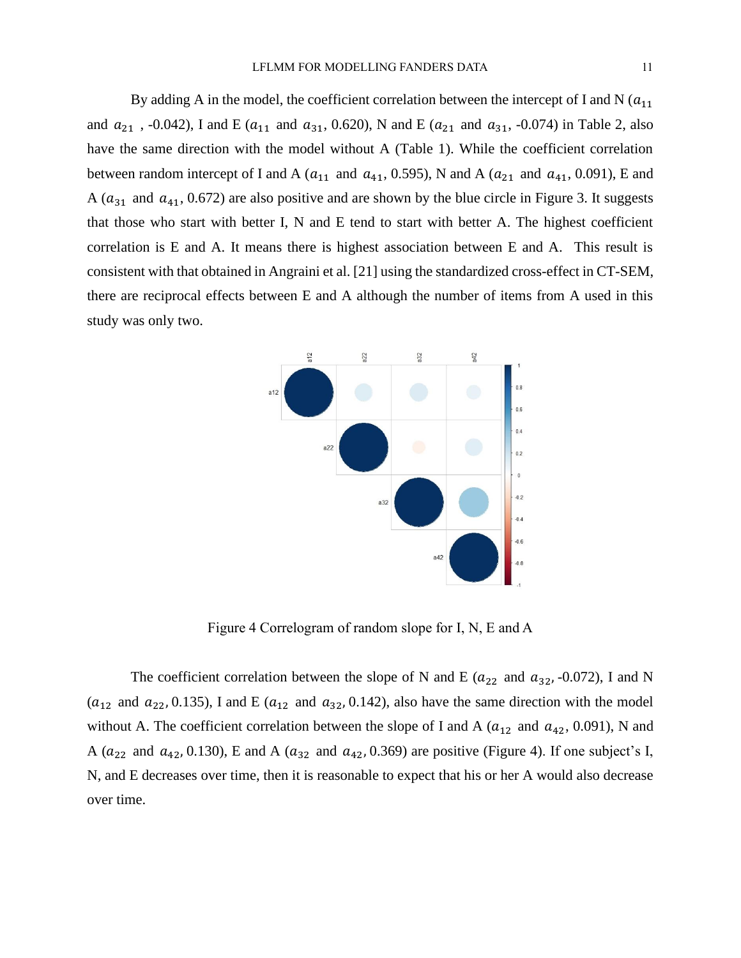By adding A in the model, the coefficient correlation between the intercept of I and N  $(a_{11})$ and  $a_{21}$ , -0.042), I and E ( $a_{11}$  and  $a_{31}$ , 0.620), N and E ( $a_{21}$  and  $a_{31}$ , -0.074) in Table 2, also have the same direction with the model without A (Table 1). While the coefficient correlation between random intercept of I and A ( $a_{11}$  and  $a_{41}$ , 0.595), N and A ( $a_{21}$  and  $a_{41}$ , 0.091), E and A ( $a_{31}$  and  $a_{41}$ , 0.672) are also positive and are shown by the blue circle in Figure 3. It suggests that those who start with better I, N and E tend to start with better A. The highest coefficient correlation is E and A. It means there is highest association between E and A. This result is consistent with that obtained in Angraini et al. [21] using the standardized cross-effect in CT-SEM, there are reciprocal effects between E and A although the number of items from A used in this study was only two.



Figure 4 Correlogram of random slope for I, N, E and A

The coefficient correlation between the slope of N and E ( $a_{22}$  and  $a_{32}$ , -0.072), I and N  $(a_{12}$  and  $a_{22}$ , 0.135), I and E  $(a_{12}$  and  $a_{32}$ , 0.142), also have the same direction with the model without A. The coefficient correlation between the slope of I and A ( $a_{12}$  and  $a_{42}$ , 0.091), N and A ( $a_{22}$  and  $a_{42}$ , 0.130), E and A ( $a_{32}$  and  $a_{42}$ , 0.369) are positive (Figure 4). If one subject's I, N, and E decreases over time, then it is reasonable to expect that his or her A would also decrease over time.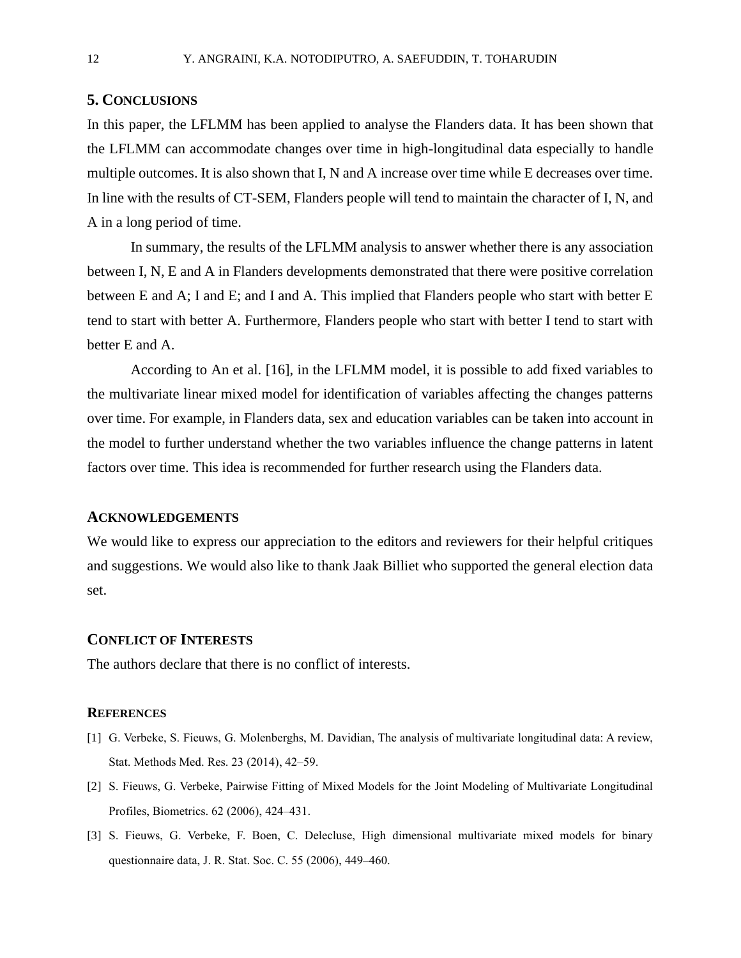## **5. CONCLUSIONS**

In this paper, the LFLMM has been applied to analyse the Flanders data. It has been shown that the LFLMM can accommodate changes over time in high-longitudinal data especially to handle multiple outcomes. It is also shown that I, N and A increase over time while E decreases over time. In line with the results of CT-SEM, Flanders people will tend to maintain the character of I, N, and A in a long period of time.

In summary, the results of the LFLMM analysis to answer whether there is any association between I, N, E and A in Flanders developments demonstrated that there were positive correlation between E and A; I and E; and I and A. This implied that Flanders people who start with better E tend to start with better A. Furthermore, Flanders people who start with better I tend to start with better E and A.

According to An et al. [16], in the LFLMM model, it is possible to add fixed variables to the multivariate linear mixed model for identification of variables affecting the changes patterns over time. For example, in Flanders data, sex and education variables can be taken into account in the model to further understand whether the two variables influence the change patterns in latent factors over time. This idea is recommended for further research using the Flanders data.

### **ACKNOWLEDGEMENTS**

We would like to express our appreciation to the editors and reviewers for their helpful critiques and suggestions. We would also like to thank Jaak Billiet who supported the general election data set.

#### **CONFLICT OF INTERESTS**

The authors declare that there is no conflict of interests.

#### **REFERENCES**

- [1] G. Verbeke, S. Fieuws, G. Molenberghs, M. Davidian, The analysis of multivariate longitudinal data: A review, Stat. Methods Med. Res. 23 (2014), 42–59.
- [2] S. Fieuws, G. Verbeke, Pairwise Fitting of Mixed Models for the Joint Modeling of Multivariate Longitudinal Profiles, Biometrics. 62 (2006), 424–431.
- [3] S. Fieuws, G. Verbeke, F. Boen, C. Delecluse, High dimensional multivariate mixed models for binary questionnaire data, J. R. Stat. Soc. C. 55 (2006), 449–460.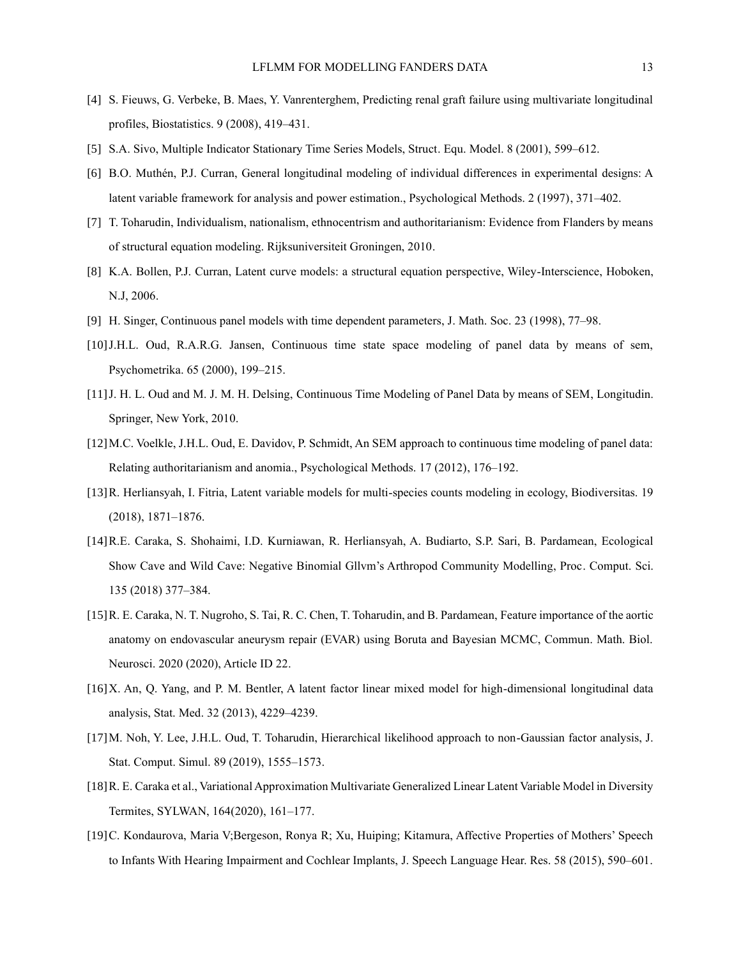- [4] S. Fieuws, G. Verbeke, B. Maes, Y. Vanrenterghem, Predicting renal graft failure using multivariate longitudinal profiles, Biostatistics. 9 (2008), 419–431.
- [5] S.A. Sivo, Multiple Indicator Stationary Time Series Models, Struct. Equ. Model. 8 (2001), 599–612.
- [6] B.O. Muthén, P.J. Curran, General longitudinal modeling of individual differences in experimental designs: A latent variable framework for analysis and power estimation., Psychological Methods. 2 (1997), 371–402.
- [7] T. Toharudin, Individualism, nationalism, ethnocentrism and authoritarianism: Evidence from Flanders by means of structural equation modeling. Rijksuniversiteit Groningen, 2010.
- [8] K.A. Bollen, P.J. Curran, Latent curve models: a structural equation perspective, Wiley-Interscience, Hoboken, N.J, 2006.
- [9] H. Singer, Continuous panel models with time dependent parameters, J. Math. Soc. 23 (1998), 77–98.
- [10]J.H.L. Oud, R.A.R.G. Jansen, Continuous time state space modeling of panel data by means of sem, Psychometrika. 65 (2000), 199–215.
- [11]J. H. L. Oud and M. J. M. H. Delsing, Continuous Time Modeling of Panel Data by means of SEM, Longitudin. Springer, New York, 2010.
- [12]M.C. Voelkle, J.H.L. Oud, E. Davidov, P. Schmidt, An SEM approach to continuous time modeling of panel data: Relating authoritarianism and anomia., Psychological Methods. 17 (2012), 176–192.
- [13]R. Herliansyah, I. Fitria, Latent variable models for multi-species counts modeling in ecology, Biodiversitas. 19 (2018), 1871–1876.
- [14]R.E. Caraka, S. Shohaimi, I.D. Kurniawan, R. Herliansyah, A. Budiarto, S.P. Sari, B. Pardamean, Ecological Show Cave and Wild Cave: Negative Binomial Gllvm's Arthropod Community Modelling, Proc. Comput. Sci. 135 (2018) 377–384.
- [15]R. E. Caraka, N. T. Nugroho, S. Tai, R. C. Chen, T. Toharudin, and B. Pardamean, Feature importance of the aortic anatomy on endovascular aneurysm repair (EVAR) using Boruta and Bayesian MCMC, Commun. Math. Biol. Neurosci. 2020 (2020), Article ID 22.
- [16]X. An, Q. Yang, and P. M. Bentler, A latent factor linear mixed model for high-dimensional longitudinal data analysis, Stat. Med. 32 (2013), 4229–4239.
- [17]M. Noh, Y. Lee, J.H.L. Oud, T. Toharudin, Hierarchical likelihood approach to non-Gaussian factor analysis, J. Stat. Comput. Simul. 89 (2019), 1555–1573.
- [18]R. E. Caraka et al., Variational Approximation Multivariate Generalized Linear Latent Variable Model in Diversity Termites, SYLWAN, 164(2020), 161–177.
- [19]C. Kondaurova, Maria V;Bergeson, Ronya R; Xu, Huiping; Kitamura, Affective Properties of Mothers' Speech to Infants With Hearing Impairment and Cochlear Implants, J. Speech Language Hear. Res. 58 (2015), 590–601.